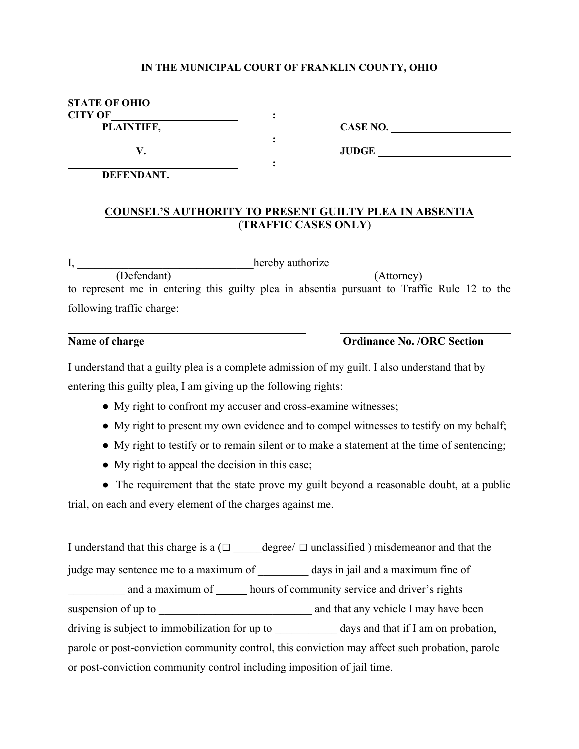### **IN THE MUNICIPAL COURT OF FRANKLIN COUNTY, OHIO**

| <b>STATE OF OHIO</b> |  |
|----------------------|--|
| <b>CITY OF</b>       |  |
| PLAINTIFF,           |  |
|                      |  |

 **:** 

**CASE NO.** *CASE NO.* **<b>***CASE NO.* 

 **DEFENDANT.** 

### **COUNSEL'S AUTHORITY TO PRESENT GUILTY PLEA IN ABSENTIA** (**TRAFFIC CASES ONLY**)

 **V. JUDGE** 

I, hereby authorize (Defendant) (Attorney) to represent me in entering this guilty plea in absentia pursuant to Traffic Rule 12 to the following traffic charge:

 $\overline{a}$ 

## **Name of charge Ordinance No. /ORC Section**

I understand that a guilty plea is a complete admission of my guilt. I also understand that by entering this guilty plea, I am giving up the following rights:

- My right to confront my accuser and cross-examine witnesses;
- My right to present my own evidence and to compel witnesses to testify on my behalf;
- My right to testify or to remain silent or to make a statement at the time of sentencing;
- My right to appeal the decision in this case;

• The requirement that the state prove my guilt beyond a reasonable doubt, at a public trial, on each and every element of the charges against me.

I understand that this charge is a  $(\Box$  degree/  $\Box$  unclassified ) misdemeanor and that the judge may sentence me to a maximum of days in jail and a maximum fine of and a maximum of hours of community service and driver's rights suspension of up to \_\_\_\_\_\_\_\_\_\_\_\_\_\_\_\_\_\_\_\_\_\_\_\_\_\_\_ and that any vehicle I may have been driving is subject to immobilization for up to days and that if I am on probation, parole or post-conviction community control, this conviction may affect such probation, parole or post-conviction community control including imposition of jail time.